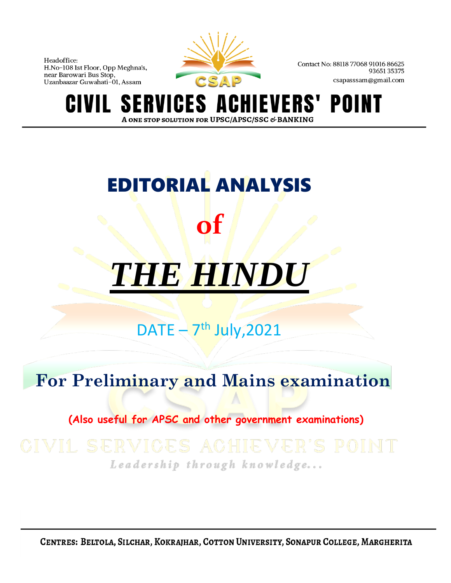

Contact No: 88118 77068 91016 86625 9365135375 csapasssam@gmail.com

VERS' **S** POINT ERVICES A A ONE STOP SOLUTION FOR UPSC/APSC/SSC & BANKING

# EDITORIAL ANALYSIS **of**

# *THE HINDU*

# $\text{DATE} - 7^{\text{th}}$  July, 2021

# **For Preliminary and Mains examination**

# **(Also useful for APSC and other government examinations)**

# Leadership through knowledge...

CENTRES: BELTOLA, SILCHAR, KOKRAJHAR, COTTON UNIVERSITY, SONAPUR COLLEGE, MARGHERITA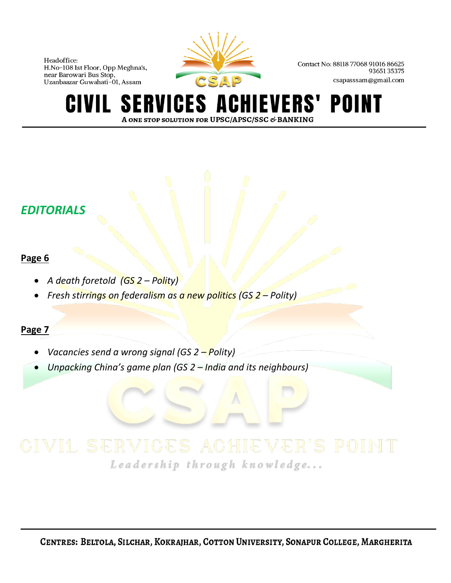

Contact No: 88118 77068 91016 86625 9365135375 csapasssam@gmail.com

#### **SERVICES A** IEVERS' POINT GIVIL A ONE STOP SOLUTION FOR UPSC/APSC/SSC & BANKING

# *EDITORIALS*

### **Page 6**

- *A death foretold (GS 2 – Polity)*
- *Fresh stirrings on federalism as a new politics (GS 2 – Polity)*

## **Page 7**

- *Vacancies send a wrong signal (GS 2 – Polity)*
- *Unpacking China's game plan (GS 2 – India and its neighbours)*

Leadership through knowledge...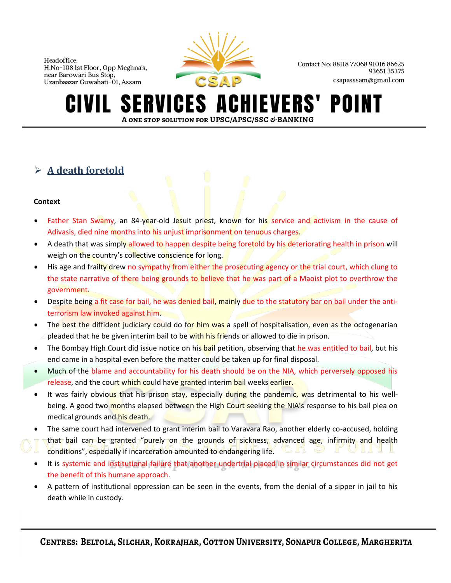

Contact No: 88118 77068 91016 86625 9365135375 csapasssam@gmail.com

#### **SERVICES A IEVERS'** POII A ONE STOP SOLUTION FOR UPSC/APSC/SSC & BANKING

# ➢ **A death foretold**

#### **Context**

- Father Stan Swamy, an 84-year-old Jesuit priest, known for his service and activism in the cause of Adivasis, died nine months into his unjust imprisonment on tenuous charges.
- A death that was simply allowed to happen despite being foretold by his deteriorating health in prison will weigh on the country's collective conscience for long.
- His age and frailty drew no sympathy from either the prosecuting agency or the trial court, which clung to the state narrative of there being grounds to believe that he was part of a Maoist plot to overthrow the government.
- Despite being a fit case for bail, he was denied bail, mainly due to the statutory bar on bail under the antiterrorism law invoked against him.
- The best the diffident judiciary could do for him was a spell of hospitalisation, even as the octogenarian pleaded that he be given interim bail to be with his friends or allowed to die in prison.
- The Bombay High Court did issue notice on his bail petition, observing that he was entitled to bail, but his end came in a hospital even before the matter could be taken up for final disposal.
- Much of the blame and accountability for his death should be on the NIA, which perversely opposed his release, and the court which could have granted interim bail weeks earlier.
- It was fairly obvious that his prison stay, especially during the pandemic, was detrimental to his wellbeing. A good two months elapsed between the High Court seeking the NIA's response to his bail plea on medical grounds and his death.
- The same court had intervened to grant interim bail to Varavara Rao, another elderly co-accused, holding that bail can be granted "purely on the grounds of sickness, advanced age, infirmity and health conditions", especially if incarceration amounted to endangering life.
- It is systemic and institutional failure that another undertrial placed in similar circumstances did not get the benefit of this humane approach.
- A pattern of institutional oppression can be seen in the events, from the denial of a sipper in jail to his death while in custody.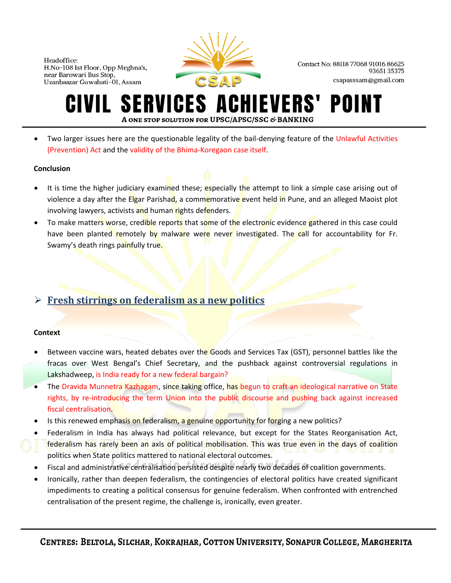

Contact No: 88118 77068 91016 86625 9365135375 csapasssam@gmail.com

#### **SERVICES AO** CHIEVERS' POII IVIL I A ONE STOP SOLUTION FOR UPSC/APSC/SSC & BANKING

• Two larger issues here are the questionable legality of the bail-denying feature of the Unlawful Activities (Prevention) Act and the validity of the Bhima-Koregaon case itself.

#### **Conclusion**

- It is time the higher judiciary examined these; especially the attempt to link a simple case arising out of violence a day after the Elgar Parishad, a commemorative event held in Pune, and an alleged Maoist plot involving lawyers, activists and human rights defenders.
- To make matters worse, credible reports that some of the electronic evidence gathered in this case could have been planted remotely by malware were never investigated. The call for accountability for Fr. Swamy's death rings painfully true.

### ➢ **Fresh stirrings on federalism as a new politics**

#### **Context**

- Between vaccine wars, heated debates over the Goods and Services Tax (GST), personnel battles like the fracas over West Bengal's Chief Secretary, and the pushback against controversial regulations in Lakshadweep, is India ready for a new federal bargain?
- The Dravida Munnetra Kazhagam, since taking office, has begun to craft an ideological narrative on State rights, by re-introducing the term Union into the public discourse and pushing back against increased fiscal centralisation.
- Is this renewed emphasis on federalism, a genuine opportunity for forging a new politics?
- Federalism in India has always had political relevance, but except for the States Reorganisation Act, federalism has rarely been an axis of political mobilisation. This was true even in the days of coalition politics when State politics mattered to national electoral outcomes.
- Fiscal and administrative centralisation persisted despite nearly two decades of coalition governments.
- Ironically, rather than deepen federalism, the contingencies of electoral politics have created significant impediments to creating a political consensus for genuine federalism. When confronted with entrenched centralisation of the present regime, the challenge is, ironically, even greater.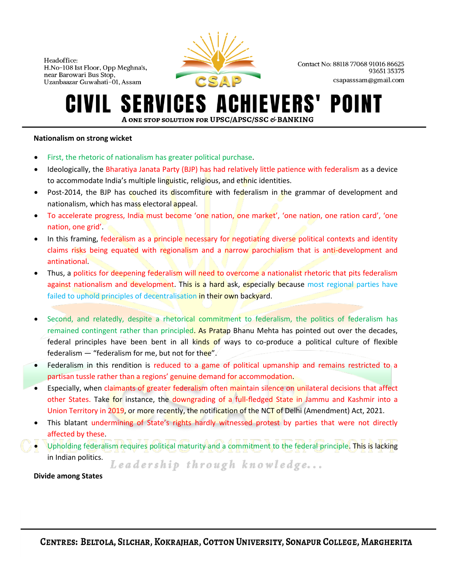

Contact No: 88118 77068 91016 86625 9365135375 csapasssam@gmail.com

#### ERVICES A **IEVERS' SI** POINT IVIL. A ONE STOP SOLUTION FOR UPSC/APSC/SSC & BANKING

#### **Nationalism on strong wicket**

- First, the rhetoric of nationalism has greater political purchase.
- Ideologically, the Bharatiya Janata Party (BJP) has had relatively little patience with federalism as a device to accommodate India's multiple linguistic, religious, and ethnic identities.
- Post-2014, the BJP has couched its discomfiture with federalism in the grammar of development and nationalism, which has mass electoral appeal.
- To accelerate progress, India must become 'one nation, one market', 'one nation, one ration card', 'one nation, one grid'.
- In this framing, federalism as a principle necessary for negotiating diverse political contexts and identity claims risks being equated with regionalism and a narrow parochialism that is anti-development and antinational.
- Thus, a politics for deepening federalism will need to overcome a nationalist rhetoric that pits federalism against nationalism and development. This is a hard ask, especially because most regional parties have failed to uphold principles of decentralisation in their own backyard.
- Second, and relatedly, despite a rhetorical commitment to federalism, the politics of federalism has remained contingent rather than principled. As Pratap Bhanu Mehta has pointed out over the decades, federal principles have been bent in all kinds of ways to co-produce a political culture of flexible federalism  $-$  "federalism for me, but not for thee".
- Federalism in this rendition is reduced to a game of political upmanship and remains restricted to a partisan tussle rather than a regions' genuine demand for accommodation.
- Especially, when claimants of greater federalism often maintain silence on unilateral decisions that affect other States. Take for instance, the downgrading of a full-fledged State in Jammu and Kashmir into a Union Territory in 2019, or more recently, the notification of the NCT of Delhi (Amendment) Act, 2021.
- This blatant undermining of State's rights hardly witnessed protest by parties that were not directly affected by these.
- Upholding federalism requires political maturity and a commitment to the federal principle. This is lacking in Indian politics.

Leadership through knowledge...

 **Divide among States**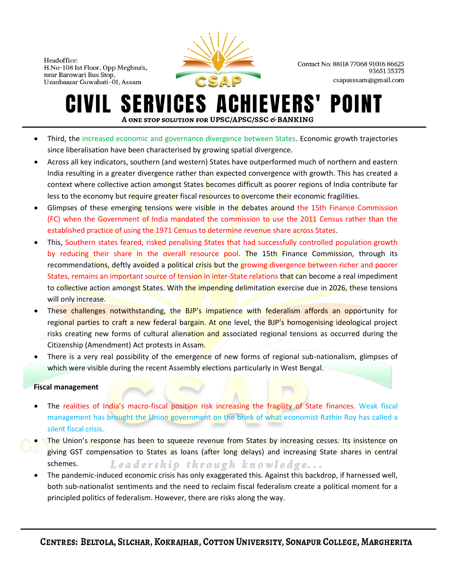

Contact No: 88118 77068 91016 86625 9365135375 csapasssam@gmail.com

#### **SERVICES ACHIEVERS'** POII IVIL I A ONE STOP SOLUTION FOR UPSC/APSC/SSC & BANKING

- Third, the increased economic and governance divergence between States. Economic growth trajectories since liberalisation have been characterised by growing spatial divergence.
- Across all key indicators, southern (and western) States have outperformed much of northern and eastern India resulting in a greater divergence rather than expected convergence with growth. This has created a context where collective action amongst States becomes difficult as poorer regions of India contribute far less to the economy but require greater fiscal resources to overcome their economic fragilities.
- Glimpses of these emerging tensions were visible in the debates around the 15th Finance Commission (FC) when the Government of India mandated the commission to use the 2011 Census rather than the established practice of using the 1971 Census to determine revenue share across States.
- This, Southern states feared, risked penalising States that had successfully controlled population growth by reducing their share in the overall resource pool. The 15th Finance Commission, through its recommendations, deftly avoided a political crisis but the growing divergence between richer and poorer States, remains an important source of tension in inter-State relations that can become a real impediment to collective action amongst States. With the impending delimitation exercise due in 2026, these tensions will only increase.
- These challenges notwithstanding, the BJP's impatience with federalism affords an opportunity for regional parties to craft a new federal bargain. At one level, the BJP's homogenising ideological project risks creating new forms of cultural alienation and associated regional tensions as occurred during the Citizenship (Amendment) Act protests in Assam.
- There is a very real possibility of the emergence of new forms of regional sub-nationalism, glimpses of which were visible during the recent Assembly elections particularly in West Bengal.

#### **Fiscal management**

- The realities of India's macro-fiscal position risk increasing the fragility of State finances. Weak fiscal management has brought the Union government on the brink of what economist Rathin Roy has called a silent fiscal crisis.
- The Union's response has been to squeeze revenue from States by increasing cesses. Its insistence on giving GST compensation to States as loans (after long delays) and increasing State shares in central schemes. Leadership through knowledge...
	- The pandemic-induced economic crisis has only exaggerated this. Against this backdrop, if harnessed well, both sub-nationalist sentiments and the need to reclaim fiscal federalism create a political moment for a principled politics of federalism. However, there are risks along the way.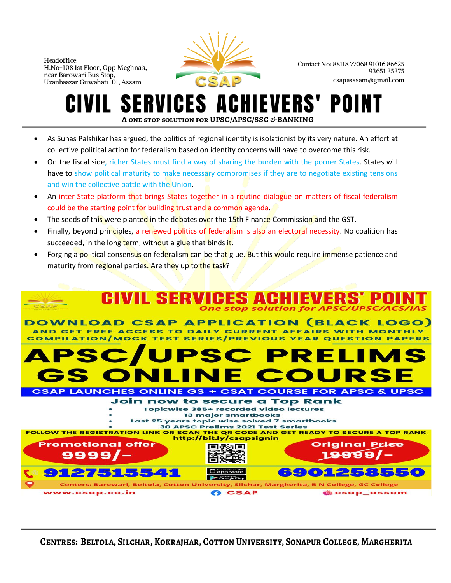

Contact No: 88118 77068 91016 86625 9365135375 csapasssam@gmail.com

### **SERVICES A IEVERS'** A ONE STOP SOLUTION FOR UPSC/APSC/SSC & BANKING

- As Suhas Palshikar has argued, the politics of regional identity is isolationist by its very nature. An effort at collective political action for federalism based on identity concerns will have to overcome this risk.
- On the fiscal side, richer States must find a way of sharing the burden with the poorer States. States will have to show political maturity to make necessary compromises if they are to negotiate existing tensions and win the collective battle with the Union.
- An inter-State platform that brings States together in a routine dialogue on matters of fiscal federalism could be the starting point for building trust and a common agenda.
- The seeds of this were planted in the debates over the 15th Finance Commission and the GST.
- Finally, beyond principles, a renewed politics of federalism is also an electoral necessity. No coalition has succeeded, in the long term, without a glue that binds it.
- Forging a political consensus on federalism can be that glue. But this would require immense patience and maturity from regional parties. Are they up to the task?



CENTRES: BELTOLA, SILCHAR, KOKRAJHAR, COTTON UNIVERSITY, SONAPUR COLLEGE, MARGHERITA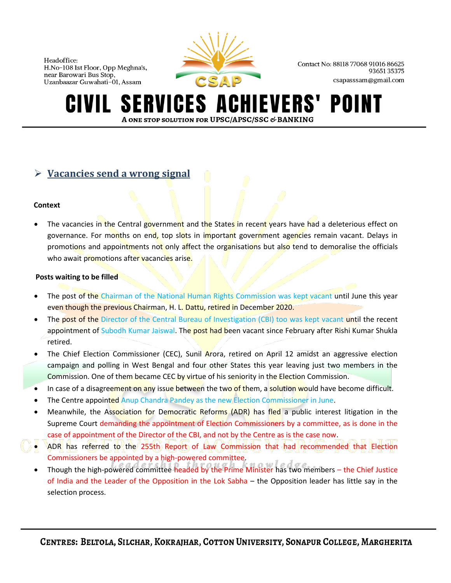

Contact No: 88118 77068 91016 86625 9365135375 csapasssam@gmail.com

#### **SERVICES A IEVERS'** POINT A ONE STOP SOLUTION FOR UPSC/APSC/SSC & BANKING

### ➢ **Vacancies send a wrong signal**

#### **Context**

The vacancies in the Central government and the States in recent years have had a deleterious effect on governance. For months on end, top slots in important government agencies remain vacant. Delays in promotions and appointments not only affect the organisations but also tend to demoralise the officials who await promotions after vacancies arise.

#### **Posts waiting to be filled**

- The post of the Chairman of the National Human Rights Commission was kept vacant until June this year even though the previous Chairman, H. L. Dattu, retired in December 2020.
- The post of the Director of the Central Bureau of Investigation (CBI) too was kept vacant until the recent appointment of Subodh Kumar Jaiswal. The post had been vacant since February after Rishi Kumar Shukla retired.
- The Chief Election Commissioner (CEC), Sunil Arora, retired on April 12 amidst an aggressive election campaign and polling in West Bengal and four other States this year leaving just two members in the Commission. One of them became CEC by virtue of his seniority in the Election Commission.
- In case of a disagreement on any issue between the two of them, a solution would have become difficult.
- The Centre appointed Anup Chandra Pandey as the new Election Commissioner in June.
- Meanwhile, the Association for Democratic Reforms (ADR) has fled a public interest litigation in the Supreme Court demanding the appointment of Election Commissioners by a committee, as is done in the case of appointment of the Director of the CBI, and not by the Centre as is the case now.
- ADR has referred to the 255th Report of Law Commission that had recommended that Election Commissioners be appointed by a high-powered committee.
- Though the high-powered committee headed by the Prime Minister has two members the Chief Justice of India and the Leader of the Opposition in the Lok Sabha – the Opposition leader has little say in the selection process.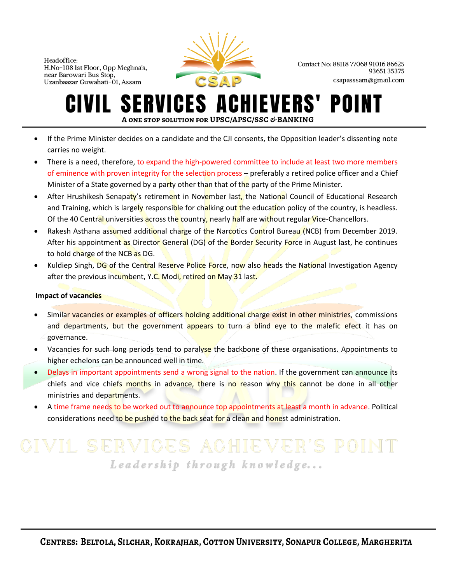

Contact No: 88118 77068 91016 86625 9365135375 csapasssam@gmail.com

#### **SERVICES ACHIEVERS'** POII IVIL. A ONE STOP SOLUTION FOR UPSC/APSC/SSC & BANKING

- If the Prime Minister decides on a candidate and the CJI consents, the Opposition leader's dissenting note carries no weight.
- There is a need, therefore, to expand the high-powered committee to include at least two more members of eminence with proven integrity for the selection process – preferably a retired police officer and a Chief Minister of a State governed by a party other than that of the party of the Prime Minister.
- After Hrushikesh Senapaty's retirement in November last, the National Council of Educational Research and Training, which is largely responsible for chalking out the education policy of the country, is headless. Of the 40 Central universities across the country, nearly half are without regular Vice-Chancellors.
- Rakesh Asthana assumed additional charge of the Narcotics Control Bureau (NCB) from December 2019. After his appointment as Director General (DG) of the Border Security Force in August last, he continues to hold charge of the NCB as DG.
- Kuldiep Singh, DG of the Central Reserve Police Force, now also heads the National Investigation Agency after the previous incumbent, Y.C. Modi, retired on May 31 last.

#### **Impact of vacancies**

- Similar vacancies or examples of officers holding additional charge exist in other ministries, commissions and departments, but the government appears to turn a blind eye to the malefic efect it has on governance.
- Vacancies for such long periods tend to paralyse the backbone of these organisations. Appointments to higher echelons can be announced well in time.
- Delays in important appointments send a wrong signal to the nation. If the government can announce its chiefs and vice chiefs months in advance, there is no reason why this cannot be done in all other ministries and departments.
- A time frame needs to be worked out to announce top appointments at least a month in advance. Political considerations need to be pushed to the back seat for a clean and honest administration.

# Leadership through knowledge...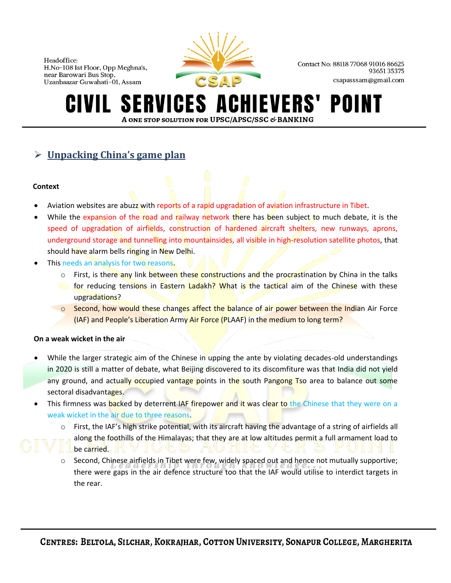

Contact No: 88118 77068 91016 86625 9365135375 csapasssam@gmail.com

#### ERVICES A **EVERS'** POII A ONE STOP SOLUTION FOR UPSC/APSC/SSC & BANKING

# ➢ **Unpacking China's game plan**

#### **Context**

- Aviation websites are abuzz with reports of a rapid upgradation of aviation infrastructure in Tibet.
- While the expansion of the road and railway network there has been subject to much debate, it is the speed of upgradation of airfields, construction of hardened aircraft shelters, new runways, aprons, underground storage and tunnelling into mountainsides, all visible in high-resolution satellite photos, that should have alarm bells ringing in New Delhi.
- This needs an analysis for two reasons.
	- o First, is there any link between these constructions and the procrastination by China in the talks **For reducing tensions in Eastern Ladakh? What is the tactical aim of the Chinese** with these upgradations?
	- $\circ$  Second, how would these changes affect the balance of air power between the Indian Air Force (IAF) and People's Liberation Army Air Force (PLAAF) in the medium to long term?

#### **On a weak wicket in the air**

- While the larger strategic aim of the Chinese in upping the ante by violating decades-old understandings in 2020 is still a matter of debate, what Beijing discovered to its discomfiture was that India did not yield any ground, and actually occupied vantage points in the south Pangong Tso area to balance out some sectoral disadvantages.
- This firmness was backed by deterrent IAF firepower and it was clear to the Chinese that they were on a weak wicket in the air due to three reasons.
	- o First, the IAF's high strike potential, with its aircraft having the advantage of a string of airfields all along the foothills of the Himalayas; that they are at low altitudes permit a full armament load to be carried.
	- Second, Chinese airfields in Tibet were few, widely spaced out and hence not mutually supportive; there were gaps in the air defence structure too that the IAF would utilise to interdict targets in the rear.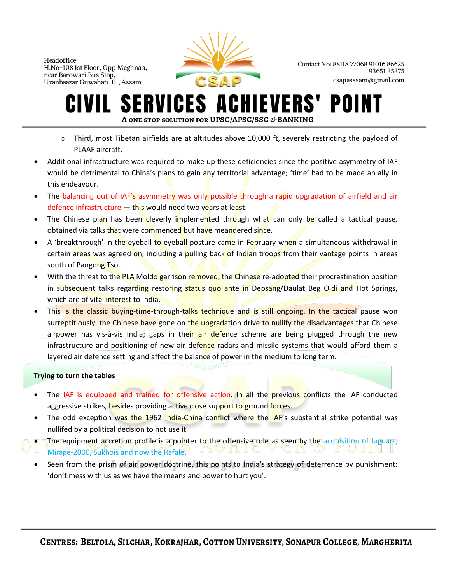

Contact No: 88118 77068 91016 86625 9365135375 csapasssam@gmail.com

#### **ERVICES A IEVERS'** POI A ONE STOP SOLUTION FOR UPSC/APSC/SSC & BANKING

- $\circ$  Third, most Tibetan airfields are at altitudes above 10,000 ft, severely restricting the payload of PLAAF aircraft.
- Additional infrastructure was required to make up these deficiencies since the positive asymmetry of IAF would be detrimental to China's plans to gain any territorial advantage; 'time' had to be made an ally in this endeavour.
- The balancing out of IAF's asymmetry was only possible through a rapid upgradation of airfield and air defence infrastructure  $-$  this would need two years at least.
- The Chinese plan has been cleverly implemented through what can only be called a tactical pause, obtained via talks that were commenced but have meandered since.
- A 'breakthrough' in the eyeball-to-eyeball posture came in February when a simultaneous withdrawal in certain areas was agreed on, including a pulling back of Indian troops from their vantage points in areas south of Pangong Tso.
- With the threat to the PLA Moldo garrison removed, the Chinese re-adopted their procrastination position in subsequent talks regarding restoring status quo ante in Depsang/Daulat Beg Oldi and Hot Springs, which are of vital interest to India.
- This is the classic buying-time-through-talks technique and is still ongoing. In the tactical pause won surreptitiously, the Chinese have gone on the upgradation drive to nullify the disadvantages that Chinese airpower has vis-à-vis India; gaps in their air defence scheme are being plugged through the new infrastructure and positioning of new air defence radars and missile systems that would afford them a layered air defence setting and affect the balance of power in the medium to long term.

#### **Trying to turn the tables**

- The IAF is equipped and trained for offensive action. In all the previous conflicts the IAF conducted aggressive strikes, besides providing active close support to ground forces.
- The odd exception was the 1962 India-China conflict where the IAF's substantial strike potential was nullifed by a political decision to not use it.
- The equipment accretion profile is a pointer to the offensive role as seen by the acquisition of Jaguars, Mirage-2000, Sukhois and now the Rafale.
- Seen from the prism of air power doctrine, this points to India's strategy of deterrence by punishment: 'don't mess with us as we have the means and power to hurt you'.